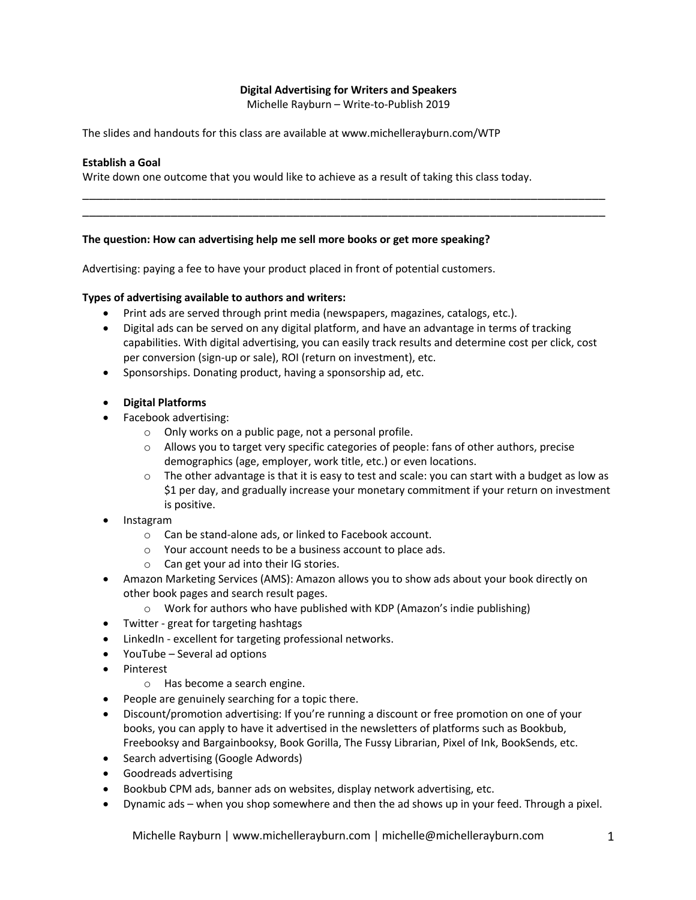# **Digital Advertising for Writers and Speakers**

Michelle Rayburn – Write-to-Publish 2019

\_\_\_\_\_\_\_\_\_\_\_\_\_\_\_\_\_\_\_\_\_\_\_\_\_\_\_\_\_\_\_\_\_\_\_\_\_\_\_\_\_\_\_\_\_\_\_\_\_\_\_\_\_\_\_\_\_\_\_\_\_\_\_\_\_\_\_\_\_\_\_\_\_\_\_\_\_ \_\_\_\_\_\_\_\_\_\_\_\_\_\_\_\_\_\_\_\_\_\_\_\_\_\_\_\_\_\_\_\_\_\_\_\_\_\_\_\_\_\_\_\_\_\_\_\_\_\_\_\_\_\_\_\_\_\_\_\_\_\_\_\_\_\_\_\_\_\_\_\_\_\_\_\_\_

The slides and handouts for this class are available at www.michellerayburn.com/WTP

### **Establish a Goal**

Write down one outcome that you would like to achieve as a result of taking this class today.

#### **The question: How can advertising help me sell more books or get more speaking?**

Advertising: paying a fee to have your product placed in front of potential customers.

#### **Types of advertising available to authors and writers:**

- Print ads are served through print media (newspapers, magazines, catalogs, etc.).
- Digital ads can be served on any digital platform, and have an advantage in terms of tracking capabilities. With digital advertising, you can easily track results and determine cost per click, cost per conversion (sign-up or sale), ROI (return on investment), etc.
- Sponsorships. Donating product, having a sponsorship ad, etc.

### • **Digital Platforms**

- Facebook advertising:
	- o Only works on a public page, not a personal profile.
	- $\circ$  Allows you to target very specific categories of people: fans of other authors, precise demographics (age, employer, work title, etc.) or even locations.
	- $\circ$  The other advantage is that it is easy to test and scale: you can start with a budget as low as \$1 per day, and gradually increase your monetary commitment if your return on investment is positive.
- Instagram
	- o Can be stand-alone ads, or linked to Facebook account.
	- o Your account needs to be a business account to place ads.
	- o Can get your ad into their IG stories.
- Amazon Marketing Services (AMS): Amazon allows you to show ads about your book directly on other book pages and search result pages.
	- $\circ$  Work for authors who have published with KDP (Amazon's indie publishing)
- Twitter great for targeting hashtags
- LinkedIn excellent for targeting professional networks.
- YouTube Several ad options
- Pinterest
	- o Has become a search engine.
- People are genuinely searching for a topic there.
- Discount/promotion advertising: If you're running a discount or free promotion on one of your books, you can apply to have it advertised in the newsletters of platforms such as Bookbub, Freebooksy and Bargainbooksy, Book Gorilla, The Fussy Librarian, Pixel of Ink, BookSends, etc.
- Search advertising (Google Adwords)
- Goodreads advertising
- Bookbub CPM ads, banner ads on websites, display network advertising, etc.
- Dynamic ads when you shop somewhere and then the ad shows up in your feed. Through a pixel.

Michelle Rayburn | www.michellerayburn.com | michelle@michellerayburn.com 1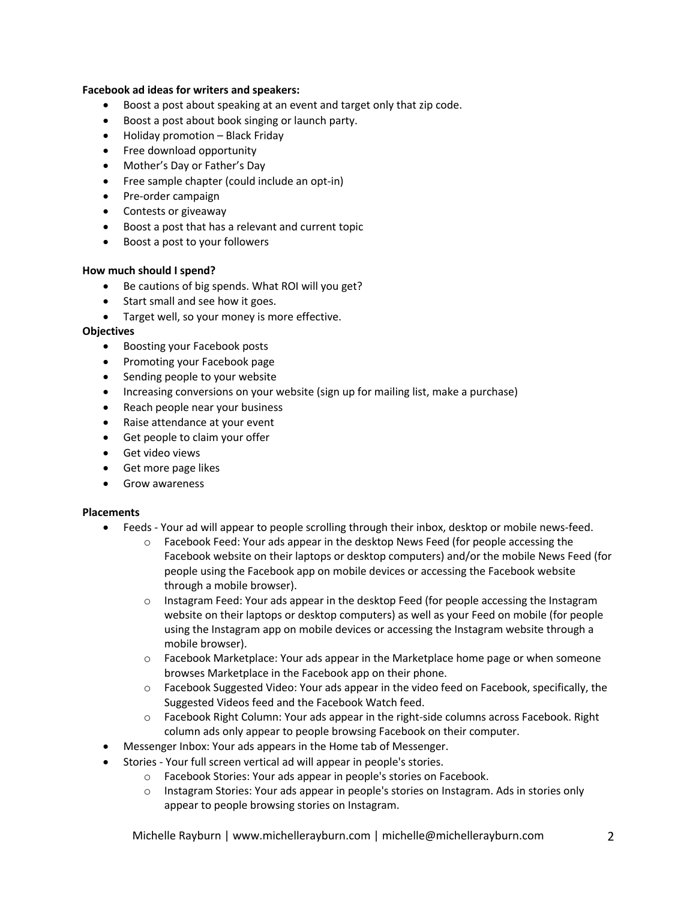### **Facebook ad ideas for writers and speakers:**

- Boost a post about speaking at an event and target only that zip code.
- Boost a post about book singing or launch party.
- Holiday promotion Black Friday
- Free download opportunity
- Mother's Day or Father's Day
- Free sample chapter (could include an opt-in)
- Pre-order campaign
- Contests or giveaway
- Boost a post that has a relevant and current topic
- Boost a post to your followers

### **How much should I spend?**

- Be cautions of big spends. What ROI will you get?
- Start small and see how it goes.
- Target well, so your money is more effective.

### **Objectives**

- Boosting your Facebook posts
- Promoting your Facebook page
- Sending people to your website
- Increasing conversions on your website (sign up for mailing list, make a purchase)
- Reach people near your business
- Raise attendance at your event
- Get people to claim your offer
- Get video views
- Get more page likes
- Grow awareness

### **Placements**

- Feeds Your ad will appear to people scrolling through their inbox, desktop or mobile news-feed.
	- $\circ$  Facebook Feed: Your ads appear in the desktop News Feed (for people accessing the Facebook website on their laptops or desktop computers) and/or the mobile News Feed (for people using the Facebook app on mobile devices or accessing the Facebook website through a mobile browser).
	- o Instagram Feed: Your ads appear in the desktop Feed (for people accessing the Instagram website on their laptops or desktop computers) as well as your Feed on mobile (for people using the Instagram app on mobile devices or accessing the Instagram website through a mobile browser).
	- $\circ$  Facebook Marketplace: Your ads appear in the Marketplace home page or when someone browses Marketplace in the Facebook app on their phone.
	- o Facebook Suggested Video: Your ads appear in the video feed on Facebook, specifically, the Suggested Videos feed and the Facebook Watch feed.
	- o Facebook Right Column: Your ads appear in the right-side columns across Facebook. Right column ads only appear to people browsing Facebook on their computer.
- Messenger Inbox: Your ads appears in the Home tab of Messenger.
- Stories Your full screen vertical ad will appear in people's stories.
	- o Facebook Stories: Your ads appear in people's stories on Facebook.
	- o Instagram Stories: Your ads appear in people's stories on Instagram. Ads in stories only appear to people browsing stories on Instagram.

Michelle Rayburn | www.michellerayburn.com | michelle@michellerayburn.com 2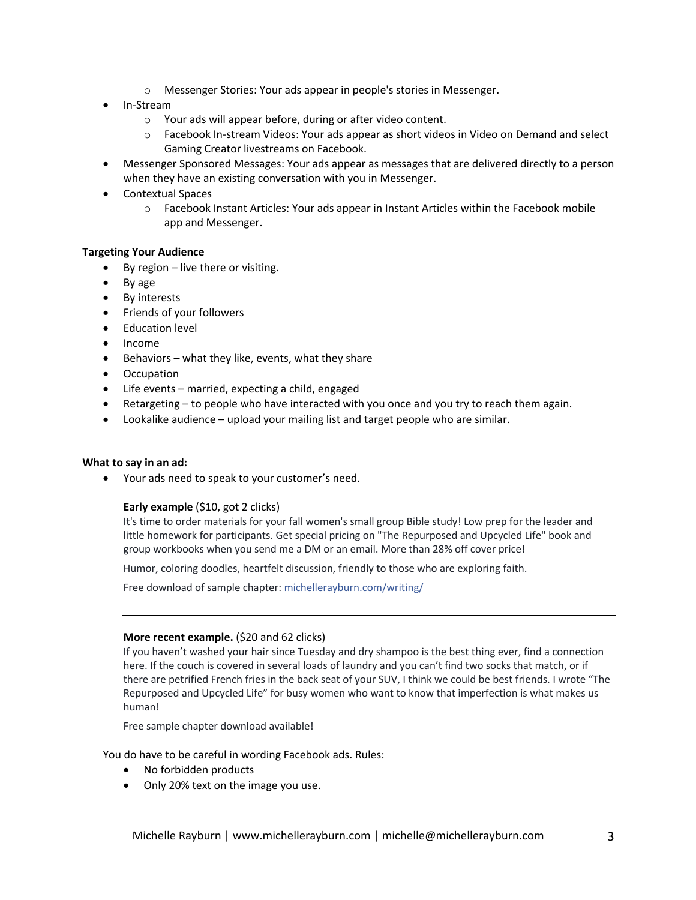- o Messenger Stories: Your ads appear in people's stories in Messenger.
- In-Stream
	- o Your ads will appear before, during or after video content.
	- o Facebook In-stream Videos: Your ads appear as short videos in Video on Demand and select Gaming Creator livestreams on Facebook.
- Messenger Sponsored Messages: Your ads appear as messages that are delivered directly to a person when they have an existing conversation with you in Messenger.
- Contextual Spaces
	- o Facebook Instant Articles: Your ads appear in Instant Articles within the Facebook mobile app and Messenger.

#### **Targeting Your Audience**

- By region  $-$  live there or visiting.
- By age
- By interests
- Friends of your followers
- Education level
- Income
- Behaviors what they like, events, what they share
- Occupation
- Life events married, expecting a child, engaged
- Retargeting to people who have interacted with you once and you try to reach them again.
- Lookalike audience upload your mailing list and target people who are similar.

#### **What to say in an ad:**

• Your ads need to speak to your customer's need.

#### **Early example** (\$10, got 2 clicks)

It's time to order materials for your fall women's small group Bible study! Low prep for the leader and little homework for participants. Get special pricing on "The Repurposed and Upcycled Life" book and group workbooks when you send me a DM or an email. More than 28% off cover price!

Humor, coloring doodles, heartfelt discussion, friendly to those who are exploring faith.

Free download of sample chapter: michellerayburn.com/writing/

#### **More recent example.** (\$20 and 62 clicks)

If you haven't washed your hair since Tuesday and dry shampoo is the best thing ever, find a connection here. If the couch is covered in several loads of laundry and you can't find two socks that match, or if there are petrified French fries in the back seat of your SUV, I think we could be best friends. I wrote "The Repurposed and Upcycled Life" for busy women who want to know that imperfection is what makes us human!

Free sample chapter download available!

You do have to be careful in wording Facebook ads. Rules:

- No forbidden products
- Only 20% text on the image you use.